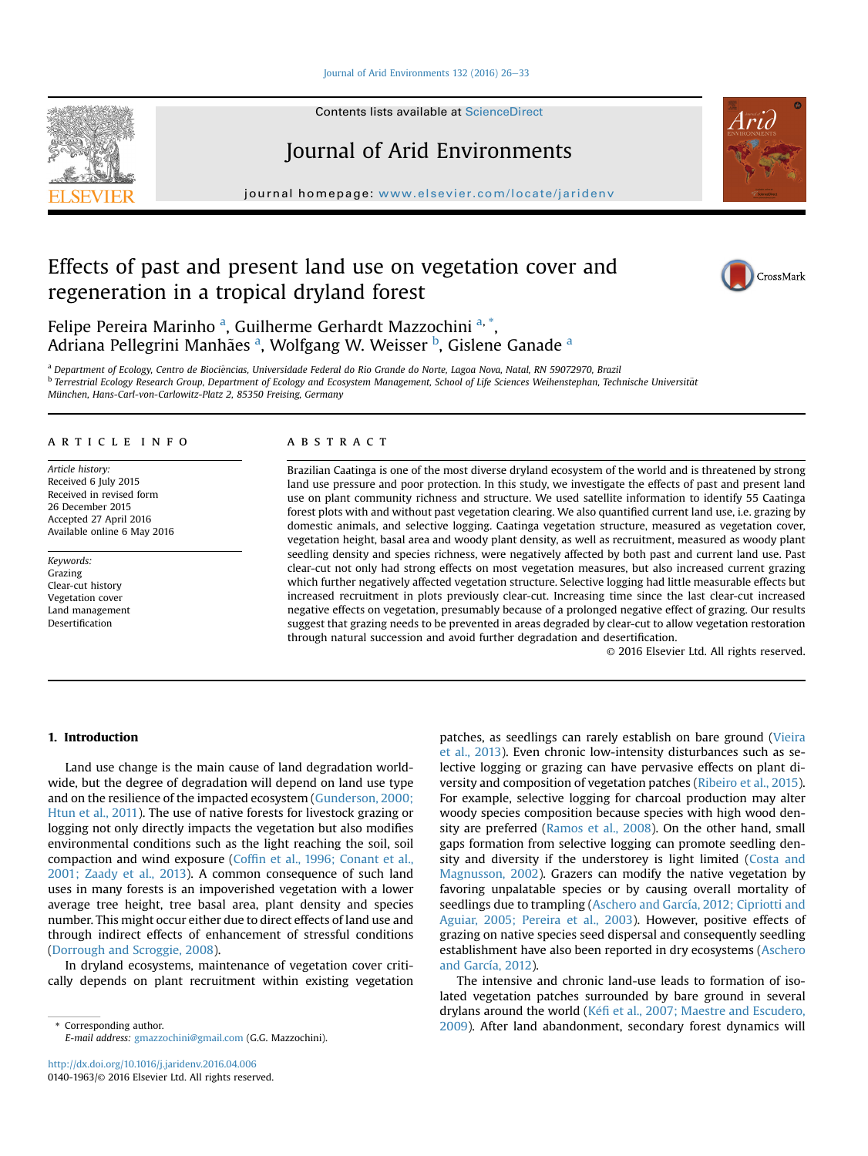#### [Journal of Arid Environments 132 \(2016\) 26](http://dx.doi.org/10.1016/j.jaridenv.2016.04.006)-[33](http://dx.doi.org/10.1016/j.jaridenv.2016.04.006)

Contents lists available at [ScienceDirect](www.sciencedirect.com/science/journal/01401963)

# Journal of Arid Environments

journal homepage: [www.elsevier.com/locate/jaridenv](http://www.elsevier.com/locate/jaridenv)

# Effects of past and present land use on vegetation cover and regeneration in a tropical dryland forest



Felipe Pereira Marinho <sup>a</sup>, Guilherme Gerhardt Mazzochini <sup>a, \*</sup>, Adriana Pellegrini Manhães <sup>a</sup>, Wolfgang W. Weisser <sup>b</sup>, Gislene Ganade <sup>a</sup>

<sup>a</sup> Department of Ecology, Centro de Biociências, Universidade Federal do Rio Grande do Norte, Lagoa Nova, Natal, RN 59072970, Brazil b Terrestrial Ecology Research Group, Department of Ecology and Ecosystem Management, School of Life Sciences Weihenstephan, Technische Universität München, Hans-Carl-von-Carlowitz-Platz 2, 85350 Freising, Germany

### article info

Article history: Received 6 July 2015 Received in revised form 26 December 2015 Accepted 27 April 2016 Available online 6 May 2016

Keywords: Grazing Clear-cut history Vegetation cover Land management Desertification

## ABSTRACT

Brazilian Caatinga is one of the most diverse dryland ecosystem of the world and is threatened by strong land use pressure and poor protection. In this study, we investigate the effects of past and present land use on plant community richness and structure. We used satellite information to identify 55 Caatinga forest plots with and without past vegetation clearing. We also quantified current land use, i.e. grazing by domestic animals, and selective logging. Caatinga vegetation structure, measured as vegetation cover, vegetation height, basal area and woody plant density, as well as recruitment, measured as woody plant seedling density and species richness, were negatively affected by both past and current land use. Past clear-cut not only had strong effects on most vegetation measures, but also increased current grazing which further negatively affected vegetation structure. Selective logging had little measurable effects but increased recruitment in plots previously clear-cut. Increasing time since the last clear-cut increased negative effects on vegetation, presumably because of a prolonged negative effect of grazing. Our results suggest that grazing needs to be prevented in areas degraded by clear-cut to allow vegetation restoration through natural succession and avoid further degradation and desertification.

© 2016 Elsevier Ltd. All rights reserved.

## 1. Introduction

Land use change is the main cause of land degradation worldwide, but the degree of degradation will depend on land use type and on the resilience of the impacted ecosystem [\(Gunderson, 2000;](#page--1-0) [Htun et al., 2011\)](#page--1-0). The use of native forests for livestock grazing or logging not only directly impacts the vegetation but also modifies environmental conditions such as the light reaching the soil, soil compaction and wind exposure (Coffi[n et al., 1996; Conant et al.,](#page--1-0) [2001; Zaady et al., 2013\)](#page--1-0). A common consequence of such land uses in many forests is an impoverished vegetation with a lower average tree height, tree basal area, plant density and species number. This might occur either due to direct effects of land use and through indirect effects of enhancement of stressful conditions ([Dorrough and Scroggie, 2008\)](#page--1-0).

In dryland ecosystems, maintenance of vegetation cover critically depends on plant recruitment within existing vegetation

E-mail address: [gmazzochini@gmail.com](mailto:gmazzochini@gmail.com) (G.G. Mazzochini).

patches, as seedlings can rarely establish on bare ground ([Vieira](#page--1-0) [et al., 2013](#page--1-0)). Even chronic low-intensity disturbances such as selective logging or grazing can have pervasive effects on plant diversity and composition of vegetation patches [\(Ribeiro et al., 2015\)](#page--1-0). For example, selective logging for charcoal production may alter woody species composition because species with high wood density are preferred [\(Ramos et al., 2008](#page--1-0)). On the other hand, small gaps formation from selective logging can promote seedling density and diversity if the understorey is light limited [\(Costa and](#page--1-0) [Magnusson, 2002\)](#page--1-0). Grazers can modify the native vegetation by favoring unpalatable species or by causing overall mortality of seedlings due to trampling ([Aschero and García, 2012; Cipriotti and](#page--1-0) [Aguiar, 2005; Pereira et al., 2003](#page--1-0)). However, positive effects of grazing on native species seed dispersal and consequently seedling establishment have also been reported in dry ecosystems ([Aschero](#page--1-0) [and García, 2012\)](#page--1-0).

The intensive and chronic land-use leads to formation of isolated vegetation patches surrounded by bare ground in several drylans around the world (Kéfi [et al., 2007; Maestre and Escudero,](#page--1-0) \* Corresponding author. [2009](#page--1-0)). After land abandonment, secondary forest dynamics will

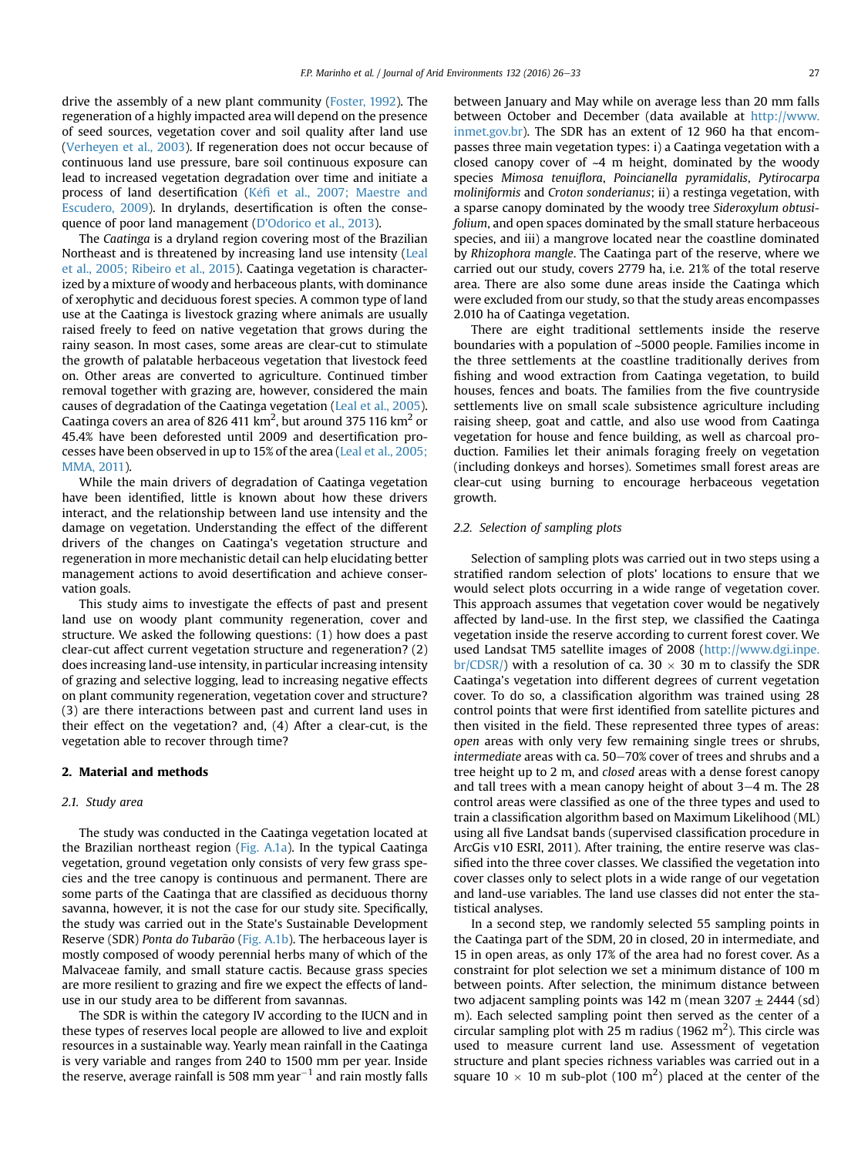drive the assembly of a new plant community ([Foster, 1992\)](#page--1-0). The regeneration of a highly impacted area will depend on the presence of seed sources, vegetation cover and soil quality after land use ([Verheyen et al., 2003](#page--1-0)). If regeneration does not occur because of continuous land use pressure, bare soil continuous exposure can lead to increased vegetation degradation over time and initiate a process of land desertification ([K](#page--1-0)éfi [et al., 2007; Maestre and](#page--1-0) [Escudero, 2009\)](#page--1-0). In drylands, desertification is often the consequence of poor land management [\(D'Odorico et al., 2013\)](#page--1-0).

The Caatinga is a dryland region covering most of the Brazilian Northeast and is threatened by increasing land use intensity ([Leal](#page--1-0) [et al., 2005; Ribeiro et al., 2015\)](#page--1-0). Caatinga vegetation is characterized by a mixture of woody and herbaceous plants, with dominance of xerophytic and deciduous forest species. A common type of land use at the Caatinga is livestock grazing where animals are usually raised freely to feed on native vegetation that grows during the rainy season. In most cases, some areas are clear-cut to stimulate the growth of palatable herbaceous vegetation that livestock feed on. Other areas are converted to agriculture. Continued timber removal together with grazing are, however, considered the main causes of degradation of the Caatinga vegetation [\(Leal et al., 2005\)](#page--1-0). Caatinga covers an area of 826 411 km<sup>2</sup>, but around 375 116 km<sup>2</sup> or 45.4% have been deforested until 2009 and desertification processes have been observed in up to 15% of the area [\(Leal et al., 2005;](#page--1-0) [MMA, 2011\)](#page--1-0).

While the main drivers of degradation of Caatinga vegetation have been identified, little is known about how these drivers interact, and the relationship between land use intensity and the damage on vegetation. Understanding the effect of the different drivers of the changes on Caatinga's vegetation structure and regeneration in more mechanistic detail can help elucidating better management actions to avoid desertification and achieve conservation goals.

This study aims to investigate the effects of past and present land use on woody plant community regeneration, cover and structure. We asked the following questions: (1) how does a past clear-cut affect current vegetation structure and regeneration? (2) does increasing land-use intensity, in particular increasing intensity of grazing and selective logging, lead to increasing negative effects on plant community regeneration, vegetation cover and structure? (3) are there interactions between past and current land uses in their effect on the vegetation? and, (4) After a clear-cut, is the vegetation able to recover through time?

#### 2. Material and methods

#### 2.1. Study area

The study was conducted in the Caatinga vegetation located at the Brazilian northeast region (Fig. A.1a). In the typical Caatinga vegetation, ground vegetation only consists of very few grass species and the tree canopy is continuous and permanent. There are some parts of the Caatinga that are classified as deciduous thorny savanna, however, it is not the case for our study site. Specifically, the study was carried out in the State's Sustainable Development Reserve (SDR) Ponta do Tubarão (Fig. A.1b). The herbaceous layer is mostly composed of woody perennial herbs many of which of the Malvaceae family, and small stature cactis. Because grass species are more resilient to grazing and fire we expect the effects of landuse in our study area to be different from savannas.

The SDR is within the category IV according to the IUCN and in these types of reserves local people are allowed to live and exploit resources in a sustainable way. Yearly mean rainfall in the Caatinga is very variable and ranges from 240 to 1500 mm per year. Inside the reserve, average rainfall is 508 mm year<sup> $-1$ </sup> and rain mostly falls

between January and May while on average less than 20 mm falls between October and December (data available at [http://www.](http://www.inmet.gov.br) [inmet.gov.br\)](http://www.inmet.gov.br). The SDR has an extent of 12 960 ha that encompasses three main vegetation types: i) a Caatinga vegetation with a closed canopy cover of  $-4$  m height, dominated by the woody species Mimosa tenuiflora, Poincianella pyramidalis, Pytirocarpa moliniformis and Croton sonderianus; ii) a restinga vegetation, with a sparse canopy dominated by the woody tree Sideroxylum obtusifolium, and open spaces dominated by the small stature herbaceous species, and iii) a mangrove located near the coastline dominated by Rhizophora mangle. The Caatinga part of the reserve, where we carried out our study, covers 2779 ha, i.e. 21% of the total reserve area. There are also some dune areas inside the Caatinga which were excluded from our study, so that the study areas encompasses 2.010 ha of Caatinga vegetation.

There are eight traditional settlements inside the reserve boundaries with a population of ~5000 people. Families income in the three settlements at the coastline traditionally derives from fishing and wood extraction from Caatinga vegetation, to build houses, fences and boats. The families from the five countryside settlements live on small scale subsistence agriculture including raising sheep, goat and cattle, and also use wood from Caatinga vegetation for house and fence building, as well as charcoal production. Families let their animals foraging freely on vegetation (including donkeys and horses). Sometimes small forest areas are clear-cut using burning to encourage herbaceous vegetation growth.

#### 2.2. Selection of sampling plots

Selection of sampling plots was carried out in two steps using a stratified random selection of plots' locations to ensure that we would select plots occurring in a wide range of vegetation cover. This approach assumes that vegetation cover would be negatively affected by land-use. In the first step, we classified the Caatinga vegetation inside the reserve according to current forest cover. We used Landsat TM5 satellite images of 2008 [\(http://www.dgi.inpe.](http://www.dgi.inpe.br/CDSR/) [br/CDSR/](http://www.dgi.inpe.br/CDSR/)) with a resolution of ca. 30  $\times$  30 m to classify the SDR Caatinga's vegetation into different degrees of current vegetation cover. To do so, a classification algorithm was trained using 28 control points that were first identified from satellite pictures and then visited in the field. These represented three types of areas: open areas with only very few remaining single trees or shrubs, intermediate areas with ca.  $50-70%$  cover of trees and shrubs and a tree height up to 2 m, and closed areas with a dense forest canopy and tall trees with a mean canopy height of about  $3-4$  m. The 28 control areas were classified as one of the three types and used to train a classification algorithm based on Maximum Likelihood (ML) using all five Landsat bands (supervised classification procedure in ArcGis v10 ESRI, 2011). After training, the entire reserve was classified into the three cover classes. We classified the vegetation into cover classes only to select plots in a wide range of our vegetation and land-use variables. The land use classes did not enter the statistical analyses.

In a second step, we randomly selected 55 sampling points in the Caatinga part of the SDM, 20 in closed, 20 in intermediate, and 15 in open areas, as only 17% of the area had no forest cover. As a constraint for plot selection we set a minimum distance of 100 m between points. After selection, the minimum distance between two adjacent sampling points was 142 m (mean  $3207 \pm 2444$  (sd) m). Each selected sampling point then served as the center of a circular sampling plot with 25 m radius (1962 m<sup>2</sup>). This circle was used to measure current land use. Assessment of vegetation structure and plant species richness variables was carried out in a square  $10 \times 10$  m sub-plot (100 m<sup>2</sup>) placed at the center of the